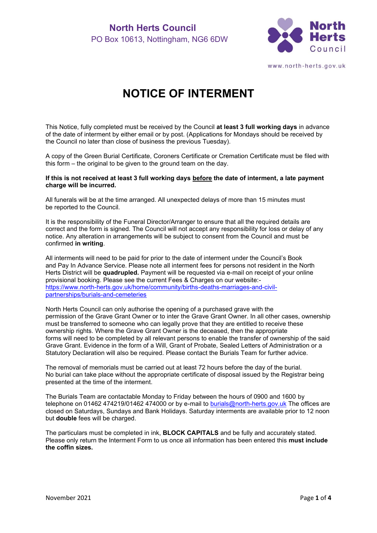

www.north-herts.gov.uk

# **NOTICE OF INTERMENT**

This Notice, fully completed must be received by the Council **at least 3 full working days** in advance of the date of interment by either email or by post. (Applications for Mondays should be received by the Council no later than close of business the previous Tuesday).

A copy of the Green Burial Certificate, Coroners Certificate or Cremation Certificate must be filed with this form – the original to be given to the ground team on the day.

#### **If this is not received at least 3 full working days before the date of interment, a late payment charge will be incurred.**

All funerals will be at the time arranged. All unexpected delays of more than 15 minutes must be reported to the Council.

It is the responsibility of the Funeral Director/Arranger to ensure that all the required details are correct and the form is signed. The Council will not accept any responsibility for loss or delay of any notice. Any alteration in arrangements will be subject to consent from the Council and must be confirmed **in writing**.

All interments will need to be paid for prior to the date of interment under the Council's Book and Pay In Advance Service. Please note all interment fees for persons not resident in the North Herts District will be **quadrupled.** Payment will be requested via e-mail on receipt of your online provisional booking. Please see the current Fees & Charges on our website: [https://www.north-herts.gov.uk/home/community/births-deaths-marriages-and-civil](https://www.north-herts.gov.uk/home/community/births-deaths-marriages-and-civil-partnerships/burials-and-cemeteries)[partnerships/burials-and-cemeteries](https://www.north-herts.gov.uk/home/community/births-deaths-marriages-and-civil-partnerships/burials-and-cemeteries)

North Herts Council can only authorise the opening of a purchased grave with the permission of the Grave Grant Owner or to inter the Grave Grant Owner. In all other cases, ownership must be transferred to someone who can legally prove that they are entitled to receive these ownership rights. Where the Grave Grant Owner is the deceased, then the appropriate forms will need to be completed by all relevant persons to enable the transfer of ownership of the said Grave Grant. Evidence in the form of a Will, Grant of Probate, Sealed Letters of Administration or a Statutory Declaration will also be required. Please contact the Burials Team for further advice.

The removal of memorials must be carried out at least 72 hours before the day of the burial. No burial can take place without the appropriate certificate of disposal issued by the Registrar being presented at the time of the interment.

The Burials Team are contactable Monday to Friday between the hours of 0900 and 1600 by telephone on 01462 474219/01462 474000 or by e-mail to [burials@north-herts.gov.uk](mailto:burials@north-herts.gov.uk) The offices are closed on Saturdays, Sundays and Bank Holidays. Saturday interments are available prior to 12 noon but **double** fees will be charged.

The particulars must be completed in ink, **BLOCK CAPITALS** and be fully and accurately stated. Please only return the Interment Form to us once all information has been entered this **must include the coffin sizes.**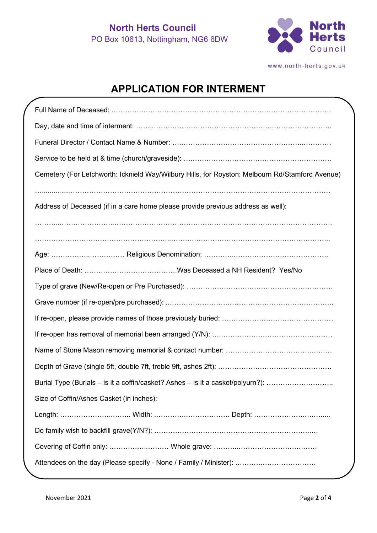

www.north-herts.gov.uk

## **APPLICATION FOR INTERMENT**

| Cemetery (For Letchworth: Icknield Way/Wilbury Hills, for Royston: Melbourn Rd/Stamford Avenue) |
|-------------------------------------------------------------------------------------------------|
|                                                                                                 |
| Address of Deceased (if in a care home please provide previous address as well):                |
|                                                                                                 |
|                                                                                                 |
|                                                                                                 |
|                                                                                                 |
|                                                                                                 |
|                                                                                                 |
|                                                                                                 |
|                                                                                                 |
|                                                                                                 |
|                                                                                                 |
| Burial Type (Burials - is it a coffin/casket? Ashes - is it a casket/polyurn?):                 |
| Size of Coffin/Ashes Casket (in inches):                                                        |
|                                                                                                 |
|                                                                                                 |
|                                                                                                 |
| Attendees on the day (Please specify - None / Family / Minister):                               |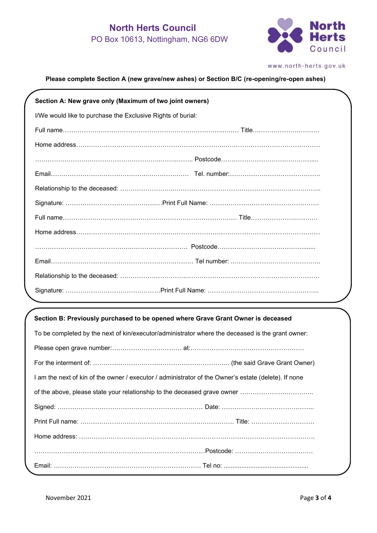## **North Herts Council** PO Box 10613, Nottingham, NG6 6DW



www.north-herts.gov.uk

#### **Please complete Section A (new grave/new ashes) or Section B/C (re-opening/re-open ashes)**

| Section A: New grave only (Maximum of two joint owners)     |  |  |
|-------------------------------------------------------------|--|--|
| I/We would like to purchase the Exclusive Rights of burial: |  |  |
|                                                             |  |  |
|                                                             |  |  |
|                                                             |  |  |
|                                                             |  |  |
|                                                             |  |  |
|                                                             |  |  |
|                                                             |  |  |
|                                                             |  |  |
|                                                             |  |  |
|                                                             |  |  |
|                                                             |  |  |
|                                                             |  |  |

#### **Section B: Previously purchased to be opened where Grave Grant Owner is deceased**

| To be completed by the next of kin/executor/administrator where the deceased is the grant owner:     |  |  |
|------------------------------------------------------------------------------------------------------|--|--|
|                                                                                                      |  |  |
|                                                                                                      |  |  |
| I am the next of kin of the owner / executor / administrator of the Owner's estate (delete). If none |  |  |
|                                                                                                      |  |  |
|                                                                                                      |  |  |
|                                                                                                      |  |  |
|                                                                                                      |  |  |
|                                                                                                      |  |  |
|                                                                                                      |  |  |